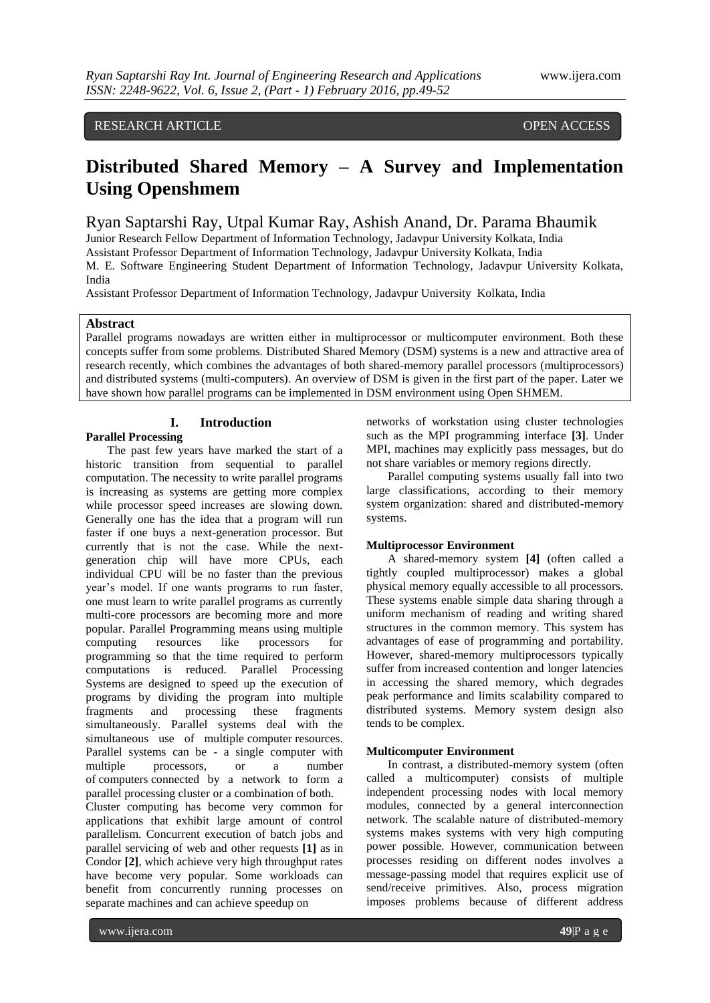# RESEARCH ARTICLE **CONSERVERS**

# **Distributed Shared Memory – A Survey and Implementation Using Openshmem**

# Ryan Saptarshi Ray, Utpal Kumar Ray, Ashish Anand, Dr. Parama Bhaumik

Junior Research Fellow Department of Information Technology, Jadavpur University Kolkata, India Assistant Professor Department of Information Technology, Jadavpur University Kolkata, India

M. E. Software Engineering Student Department of Information Technology, Jadavpur University Kolkata, India

Assistant Professor Department of Information Technology, Jadavpur University Kolkata, India

#### **Abstract**

Parallel programs nowadays are written either in multiprocessor or multicomputer environment. Both these concepts suffer from some problems. Distributed Shared Memory (DSM) systems is a new and attractive area of research recently, which combines the advantages of both shared-memory parallel processors (multiprocessors) and distributed systems (multi-computers). An overview of DSM is given in the first part of the paper. Later we have shown how parallel programs can be implemented in DSM environment using Open SHMEM.

# **I. Introduction**

### **Parallel Processing**

The past few years have marked the start of a historic transition from sequential to parallel computation. The necessity to write parallel programs is increasing as systems are getting more complex while processor speed increases are slowing down. Generally one has the idea that a program will run faster if one buys a next-generation processor. But currently that is not the case. While the nextgeneration chip will have more CPUs, each individual CPU will be no faster than the previous year's model. If one wants programs to run faster, one must learn to write parallel programs as currently multi-core processors are becoming more and more popular. Parallel Programming means using multiple computing resources like processors for programming so that the time required to perform computations is reduced. Parallel Processing Systems are designed to speed up the execution of programs by dividing the program into multiple fragments and processing these fragments simultaneously. Parallel systems deal with the simultaneous use of multiple computer resources. Parallel systems can be - a single computer with multiple processors, or a number of computers connected by a network to form a parallel processing cluster or a combination of both. Cluster computing has become very common for applications that exhibit large amount of control parallelism. Concurrent execution of batch jobs and parallel servicing of web and other requests **[1]** as in Condor **[2]**, which achieve very high throughput rates have become very popular. Some workloads can benefit from concurrently running processes on

separate machines and can achieve speedup on

networks of workstation using cluster technologies such as the MPI programming interface **[3]**. Under MPI, machines may explicitly pass messages, but do not share variables or memory regions directly.

Parallel computing systems usually fall into two large classifications, according to their memory system organization: shared and distributed-memory systems.

## **Multiprocessor Environment**

A shared-memory system **[4]** (often called a tightly coupled multiprocessor) makes a global physical memory equally accessible to all processors. These systems enable simple data sharing through a uniform mechanism of reading and writing shared structures in the common memory. This system has advantages of ease of programming and portability. However, shared-memory multiprocessors typically suffer from increased contention and longer latencies in accessing the shared memory, which degrades peak performance and limits scalability compared to distributed systems. Memory system design also tends to be complex.

#### **Multicomputer Environment**

In contrast, a distributed-memory system (often called a multicomputer) consists of multiple independent processing nodes with local memory modules, connected by a general interconnection network. The scalable nature of distributed-memory systems makes systems with very high computing power possible. However, communication between processes residing on different nodes involves a message-passing model that requires explicit use of send/receive primitives. Also, process migration imposes problems because of different address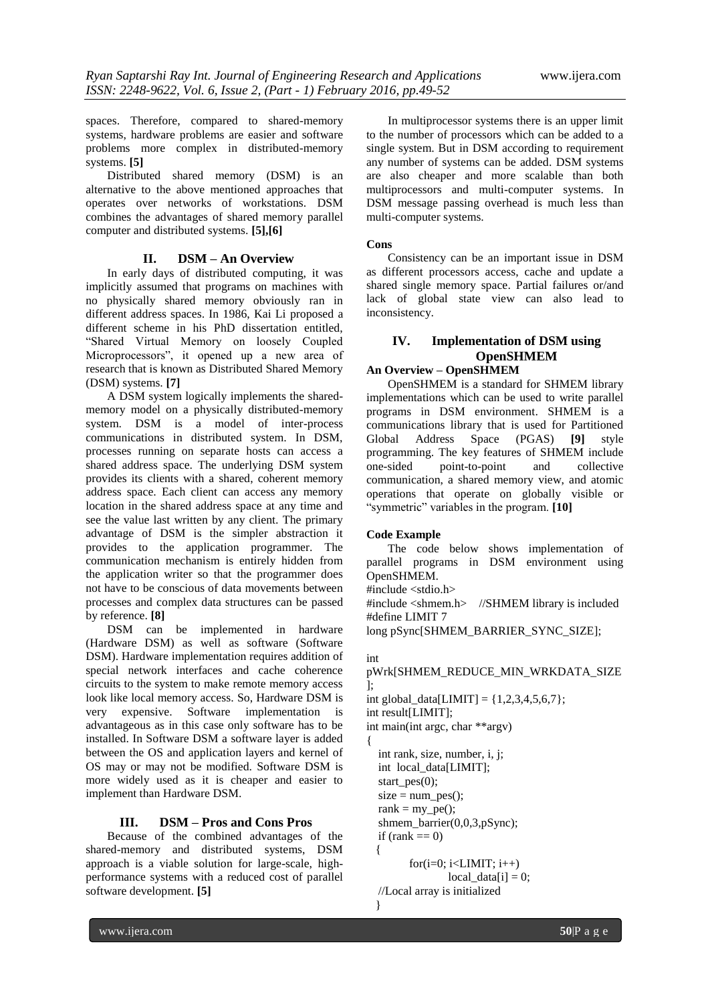spaces. Therefore, compared to shared-memory systems, hardware problems are easier and software problems more complex in distributed-memory systems. **[5]**

Distributed shared memory (DSM) is an alternative to the above mentioned approaches that operates over networks of workstations. DSM combines the advantages of shared memory parallel computer and distributed systems. **[5],[6]**

### **II. DSM – An Overview**

In early days of distributed computing, it was implicitly assumed that programs on machines with no physically shared memory obviously ran in different address spaces. In 1986, Kai Li proposed a different scheme in his PhD dissertation entitled, "Shared Virtual Memory on loosely Coupled Microprocessors", it opened up a new area of research that is known as Distributed Shared Memory (DSM) systems. **[7]**

A DSM system logically implements the sharedmemory model on a physically distributed-memory system. DSM is a model of inter-process communications in distributed system. In DSM, processes running on separate hosts can access a shared address space. The underlying DSM system provides its clients with a shared, coherent memory address space. Each client can access any memory location in the shared address space at any time and see the value last written by any client. The primary advantage of DSM is the simpler abstraction it provides to the application programmer. The communication mechanism is entirely hidden from the application writer so that the programmer does not have to be conscious of data movements between processes and complex data structures can be passed by reference. **[8]**

DSM can be implemented in hardware (Hardware DSM) as well as software (Software DSM). Hardware implementation requires addition of special network interfaces and cache coherence circuits to the system to make remote memory access look like local memory access. So, Hardware DSM is very expensive. Software implementation is advantageous as in this case only software has to be installed. In Software DSM a software layer is added between the OS and application layers and kernel of OS may or may not be modified. Software DSM is more widely used as it is cheaper and easier to implement than Hardware DSM.

# **III. DSM – Pros and Cons Pros**

Because of the combined advantages of the shared-memory and distributed systems, DSM approach is a viable solution for large-scale, highperformance systems with a reduced cost of parallel software development. **[5]**

In multiprocessor systems there is an upper limit to the number of processors which can be added to a single system. But in DSM according to requirement any number of systems can be added. DSM systems are also cheaper and more scalable than both multiprocessors and multi-computer systems. In DSM message passing overhead is much less than multi-computer systems.

#### **Cons**

Consistency can be an important issue in DSM as different processors access, cache and update a shared single memory space. Partial failures or/and lack of global state view can also lead to inconsistency.

# **IV. Implementation of DSM using OpenSHMEM**

## **An Overview – OpenSHMEM**

OpenSHMEM is a standard for SHMEM library implementations which can be used to write parallel programs in DSM environment. SHMEM is a communications library that is used for Partitioned Global Address Space (PGAS) **[9]** style programming. The key features of SHMEM include one-sided point-to-point and collective communication, a shared memory view, and atomic operations that operate on globally visible or "symmetric" variables in the program. **[10]**

#### **Code Example**

The code below shows implementation of parallel programs in DSM environment using OpenSHMEM.

#include <stdio.h>

#include <shmem.h> //SHMEM library is included #define LIMIT 7

long pSync[SHMEM\_BARRIER\_SYNC\_SIZE];

#### int pWrk[SHMEM\_REDUCE\_MIN\_WRKDATA\_SIZE ];

```
int global_data[LIMIT] = {1,2,3,4,5,6,7};
int result[LIMIT];
int main(int argc, char **argv)
{
   int rank, size, number, i, j;
   int local_data[LIMIT];
  start_pes(0);
  size = num pes();rank = my_pe();
  shmem_barrier(0,0,3,pSync);
  if (rank == 0)
   {
         for(i=0; i < LIMIT; i++)local_data[i] = 0; //Local array is initialized
   }
```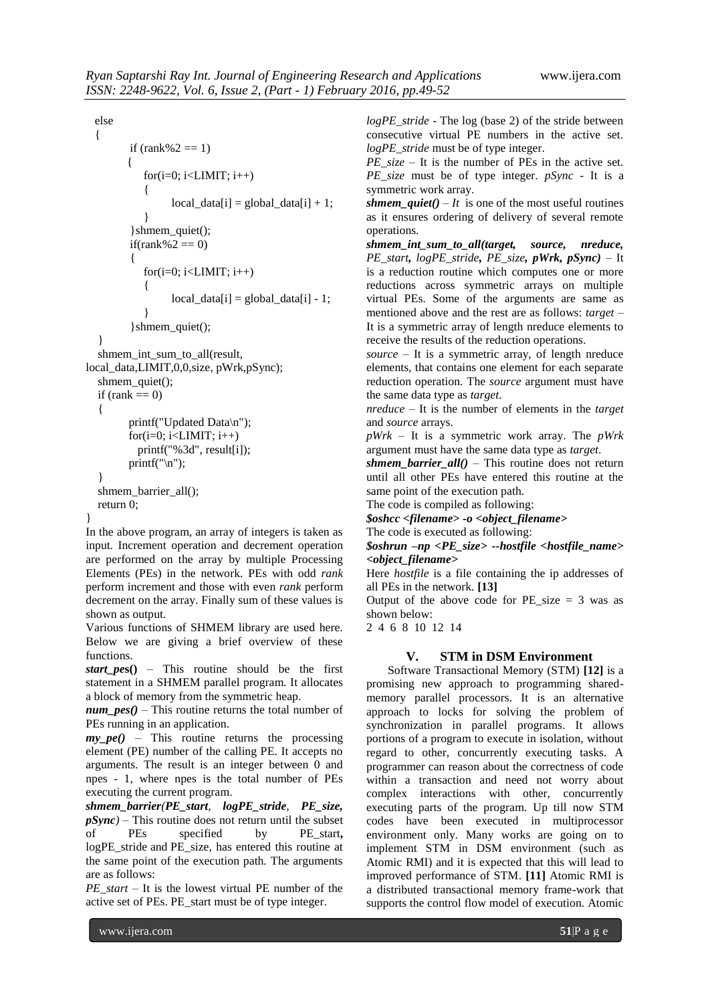#### else

```
 {
         if (rank%2 == 1)
          {
            for(i=0; i < LIMIT; i++) {
                  local data[i] = global data[i] + 1;
          }
          }shmem_quiet();
         if(rank%2 == 0) {
            for(i=0; i<LIMIT; i++)
             {
                  local_data[i] = global_data[i] - 1; }
          }shmem_quiet();
   }
  shmem_int_sum_to_all(result,
local_data,LIMIT,0,0,size, pWrk,pSync);
  shmem_quiet();
  if (rank == 0)
   {
         printf("Updated Data\n");
         for(i=0; i<LIMIT; i++) printf("%3d", result[i]);
         printf("\n\langle n"\rangle;
   }
  shmem_barrier_all();
   return 0;
```
}

In the above program, an array of integers is taken as input. Increment operation and decrement operation are performed on the array by multiple Processing Elements (PEs) in the network. PEs with odd *rank* perform increment and those with even *rank* perform decrement on the array. Finally sum of these values is shown as output.

Various functions of SHMEM library are used here. Below we are giving a brief overview of these functions.

*start\_pe***s()** – This routine should be the first statement in a SHMEM parallel program. It allocates a block of memory from the symmetric heap.

*num\_pes()* – This routine returns the total number of PEs running in an application.

 $mv$   $pe()$  – This routine returns the processing element (PE) number of the calling PE. It accepts no arguments. The result is an integer between 0 and npes - 1, where npes is the total number of PEs executing the current program.

*shmem\_barrier(PE\_start, logPE\_stride, PE\_size,*  $pSync$  – This routine does not return until the subset<br>of PEs specified by PE start. PEs specified by PE\_start, logPE\_stride and PE\_size, has entered this routine at the same point of the execution path. The arguments are as follows:

*PE\_start* – It is the lowest virtual PE number of the active set of PEs. PE\_start must be of type integer.

*logPE\_stride* - The log (base 2) of the stride between consecutive virtual PE numbers in the active set. *logPE\_stride* must be of type integer.

*PE\_size* – It is the number of PEs in the active set. *PE\_size* must be of type integer. *pSync* - It is a symmetric work array.

*shmem\_quiet()*  $-It$  is one of the most useful routines as it ensures ordering of delivery of several remote operations.

*shmem\_int\_sum\_to\_all(target, source, nreduce, PE\_start, logPE\_stride, PE\_size, pWrk, pSync)* – It is a reduction routine which computes one or more reductions across symmetric arrays on multiple virtual PEs. Some of the arguments are same as mentioned above and the rest are as follows: *target* – It is a symmetric array of length nreduce elements to receive the results of the reduction operations.

*source* – It is a symmetric array, of length nreduce elements, that contains one element for each separate reduction operation. The *source* argument must have the same data type as *target*.

*nreduce* – It is the number of elements in the *target* and *source* arrays.

*pWrk* – It is a symmetric work array. The *pWrk* argument must have the same data type as *target*.

*shmem\_barrier\_all()* – This routine does not return until all other PEs have entered this routine at the same point of the execution path.

The code is compiled as following:

*\$oshcc <filename> -o <object\_filename>*

The code is executed as following:

*\$oshrun –np <PE\_size> --hostfile <hostfile\_name> <object\_filename>*

Here *hostfile* is a file containing the ip addresses of all PEs in the network. **[13]**

Output of the above code for  $PE\_size = 3$  was as shown below:

2 4 6 8 10 12 14

# **V. STM in DSM Environment**

Software Transactional Memory (STM) **[12]** is a promising new approach to programming sharedmemory parallel processors. It is an alternative approach to locks for solving the problem of synchronization in parallel programs. It allows portions of a program to execute in isolation, without regard to other, concurrently executing tasks. A programmer can reason about the correctness of code within a transaction and need not worry about complex interactions with other, concurrently executing parts of the program. Up till now STM codes have been executed in multiprocessor environment only. Many works are going on to implement STM in DSM environment (such as Atomic RMI) and it is expected that this will lead to improved performance of STM. **[11]** Atomic RMI is a distributed transactional memory frame-work that supports the control flow model of execution. Atomic